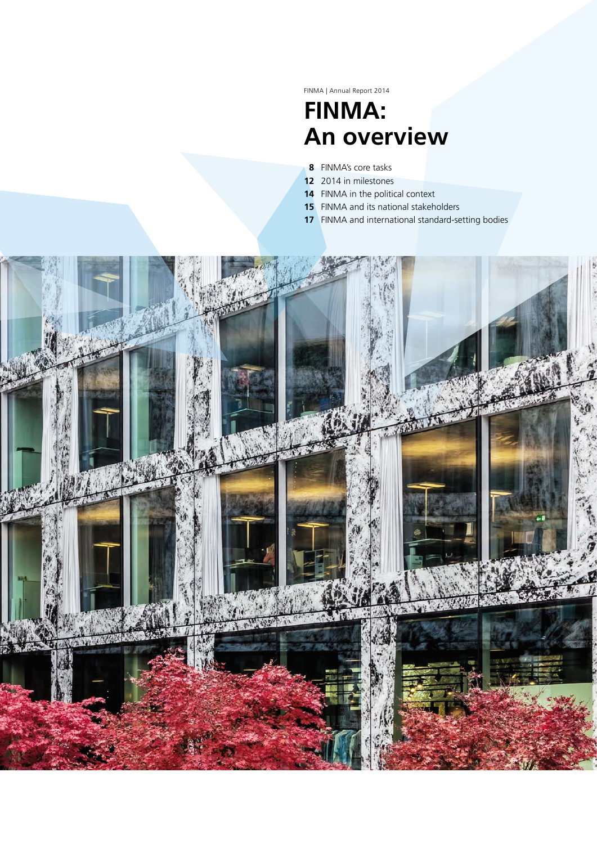FINMA | Annual Report 2014

# **FINMA: An overview**

- FINMA's core tasks
- 2014 in milestones
- FINMA in the political context
- FINMA and its national stakeholders
- FINMA and international standard-setting bodies

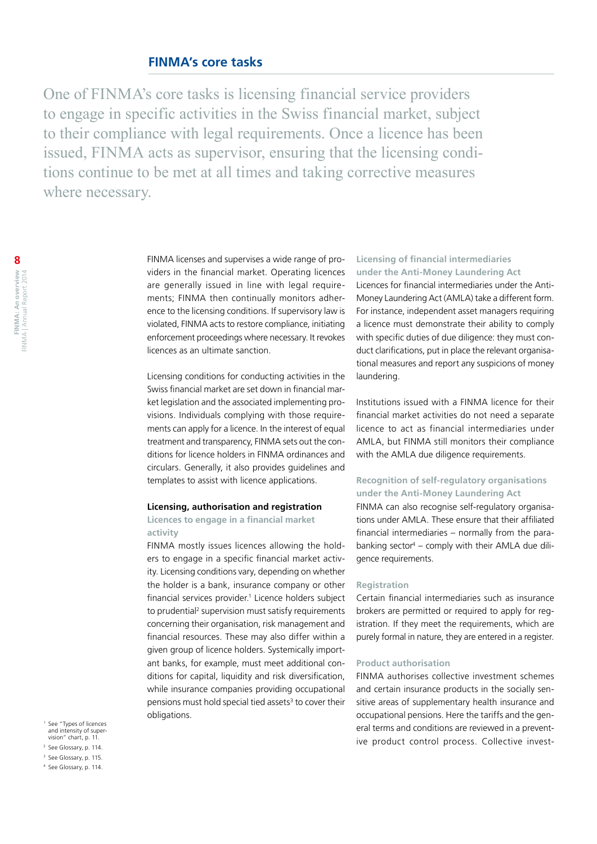# **FINMA's core tasks**

One of FINMA's core tasks is licensing financial service providers to engage in specific activities in the Swiss financial market, subject to their compliance with legal requirements. Once a licence has been issued, FINMA acts as supervisor, ensuring that the licensing conditions continue to be met at all times and taking corrective measures where necessary.

> FINMA licenses and supervises a wide range of providers in the financial market. Operating licences are generally issued in line with legal requirements; FINMA then continually monitors adherence to the licensing conditions. If supervisory law is violated, FINMA acts to restore compliance, initiating enforcement proceedings where necessary. It revokes licences as an ultimate sanction.

> Licensing conditions for conducting activities in the Swiss financial market are set down in financial market legislation and the associated implementing provisions. Individuals complying with those requirements can apply for a licence. In the interest of equal treatment and transparency, FINMA sets out the conditions for licence holders in FINMA ordinances and circulars. Generally, it also provides guidelines and templates to assist with licence applications.

#### **Licensing, authorisation and registration**

### **Licences to engage in a financial market activity**

FINMA mostly issues licences allowing the holders to engage in a specific financial market activity. Licensing conditions vary, depending on whether the holder is a bank, insurance company or other financial services provider.<sup>1</sup> Licence holders subject to prudential<sup>2</sup> supervision must satisfy requirements concerning their organisation, risk management and financial resources. These may also differ within a given group of licence holders. Systemically important banks, for example, must meet additional conditions for capital, liquidity and risk diversification, while insurance companies providing occupational pensions must hold special tied assets<sup>3</sup> to cover their obligations.

**Licensing of financial intermediaries under the Anti-Money Laundering Act** Licences for financial intermediaries under the Anti-Money Laundering Act (AMLA) take a different form. For instance, independent asset managers requiring a licence must demonstrate their ability to comply with specific duties of due diligence: they must conduct clarifications, put in place the relevant organisational measures and report any suspicions of money laundering.

Institutions issued with a FINMA licence for their financial market activities do not need a separate licence to act as financial intermediaries under AMLA, but FINMA still monitors their compliance with the AMLA due diligence requirements.

### **Recognition of self-regulatory organisations under the Anti-Money Laundering Act**

FINMA can also recognise self-regulatory organisations under AMLA. These ensure that their affiliated financial intermediaries – normally from the parabanking sector<sup>4</sup> – comply with their AMLA due diligence requirements.

#### **Registration**

Certain financial intermediaries such as insurance brokers are permitted or required to apply for registration. If they meet the requirements, which are purely formal in nature, they are entered in a register.

### **Product authorisation**

FINMA authorises collective investment schemes and certain insurance products in the socially sensitive areas of supplementary health insurance and occupational pensions. Here the tariffs and the general terms and conditions are reviewed in a preventive product control process. Collective invest-

<sup>1</sup> See "Types of licences and intensity of super-vision" chart, p. 11.

<sup>2</sup> See Glossary, p. 114.

<sup>3</sup> See Glossary, p. 115.

<sup>4</sup> See Glossary, p. 114.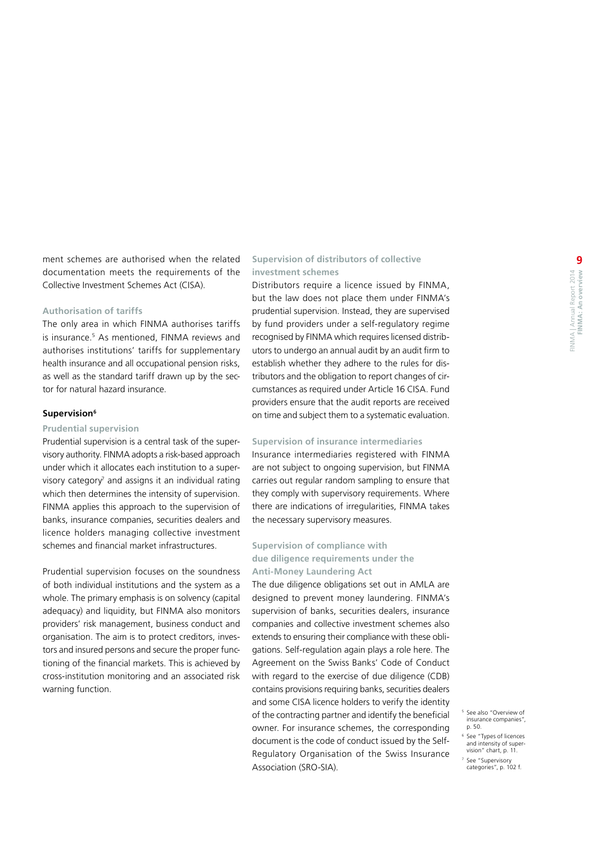ment schemes are authorised when the related documentation meets the requirements of the Collective Investment Schemes Act (CISA).

## **Authorisation of tariffs**

The only area in which FINMA authorises tariffs is insurance.<sup>5</sup> As mentioned, FINMA reviews and authorises institutions' tariffs for supplementary health insurance and all occupational pension risks, as well as the standard tariff drawn up by the sector for natural hazard insurance.

#### **Supervision<sup>6</sup>**

## **Prudential supervision**

Prudential supervision is a central task of the supervisory authority. FINMA adopts a risk-based approach under which it allocates each institution to a supervisory category<sup>7</sup> and assigns it an individual rating which then determines the intensity of supervision. FINMA applies this approach to the supervision of banks, insurance companies, securities dealers and licence holders managing collective investment schemes and financial market infrastructures.

Prudential supervision focuses on the soundness of both individual institutions and the system as a whole. The primary emphasis is on solvency (capital adequacy) and liquidity, but FINMA also monitors providers' risk management, business conduct and organisation. The aim is to protect creditors, investors and insured persons and secure the proper functioning of the financial markets. This is achieved by cross-institution monitoring and an associated risk warning function.

# **Supervision of distributors of collective investment schemes**

Distributors require a licence issued by FINMA, but the law does not place them under FINMA's prudential supervision. Instead, they are supervised by fund providers under a self-regulatory regime recognised by FINMA which requires licensed distributors to undergo an annual audit by an audit firm to establish whether they adhere to the rules for distributors and the obligation to report changes of circumstances as required under Article 16 CISA. Fund providers ensure that the audit reports are received on time and subject them to a systematic evaluation.

#### **Supervision of insurance intermediaries**

Insurance intermediaries registered with FINMA are not subject to ongoing supervision, but FINMA carries out regular random sampling to ensure that they comply with supervisory requirements. Where there are indications of irregularities, FINMA takes the necessary supervisory measures.

# **Supervision of compliance with due diligence requirements under the Anti-Money Laundering Act**

The due diligence obligations set out in AMLA are designed to prevent money laundering. FINMA's supervision of banks, securities dealers, insurance companies and collective investment schemes also extends to ensuring their compliance with these obligations. Self-regulation again plays a role here. The Agreement on the Swiss Banks' Code of Conduct with regard to the exercise of due diligence (CDB) contains provisions requiring banks, securities dealers and some CISA licence holders to verify the identity of the contracting partner and identify the beneficial owner. For insurance schemes, the corresponding document is the code of conduct issued by the Self-Regulatory Organisation of the Swiss Insurance Association (SRO-SIA).

<sup>&</sup>lt;sup>5</sup> See also "Overview of insurance companies", p. 50.

<sup>6</sup> See "Types of licences and intensity of supervision" chart, p. 11.

<sup>7</sup> See "Supervisory categories", p. 102 f.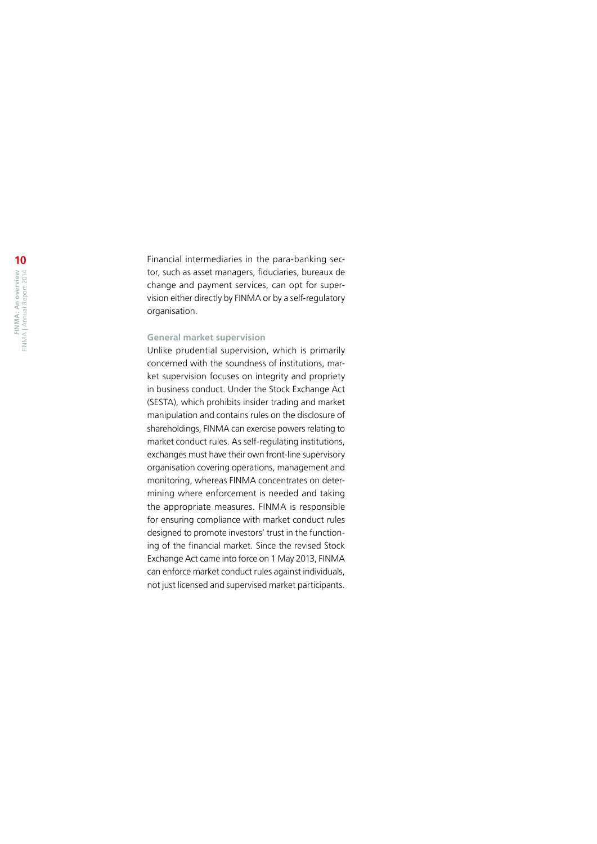Financial intermediaries in the para -banking sector, such as asset managers, fiduciaries, bureaux de change and payment services, can opt for supervision either directly by FINMA or by a self-regulatory organisation.

#### **General market supervision**

Unlike prudential supervision, which is primarily concerned with the soundness of institutions, mar ket supervision focuses on integrity and propriety in business conduct. Under the Stock Exchange Act (SESTA), which prohibits insider trading and market manipulation and contains rules on the disclosure of shareholdings, FINMA can exercise powers relating to market conduct rules. As self -regulating institutions, exchanges must have their own front -line supervisory organisation covering operations, management and monitoring, whereas FINMA concentrates on deter mining where enforcement is needed and taking the appropriate measures. FINMA is responsible for ensuring compliance with market conduct rules designed to promote investors' trust in the function ing of the financial market. Since the revised Stock Exchange Act came into force on 1 May 2013, FINMA can enforce market conduct rules against individuals, not just licensed and supervised market participants.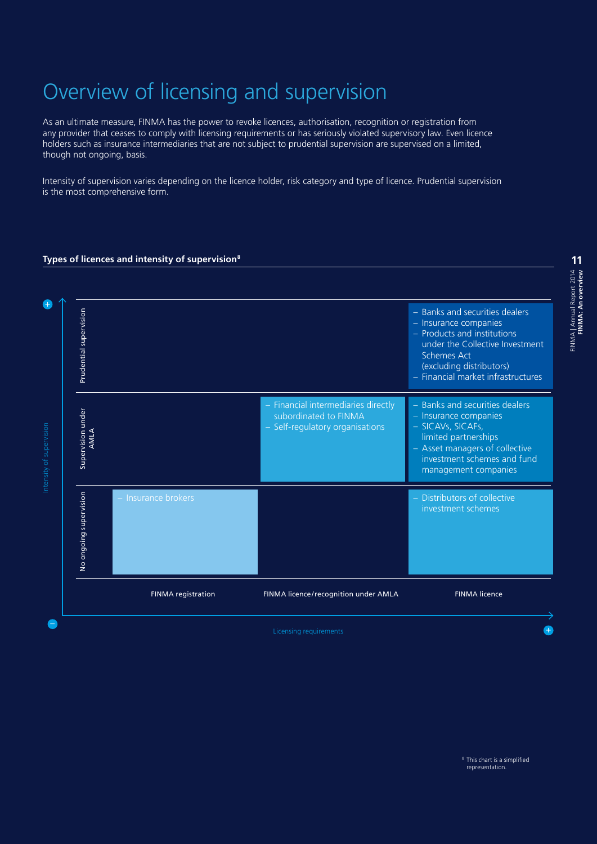# Overview of licensing and supervision

As an ultimate measure, FINMA has the power to revoke licences, authorisation, recognition or registration from any provider that ceases to comply with licensing requirements or has seriously violated supervisory law. Even licence holders such as insurance intermediaries that are not subject to prudential supervision are supervised on a limited, though not ongoing, basis.

Intensity of supervision varies depending on the licence holder, risk category and type of licence. Prudential supervision is the most comprehensive form.

# **Types of licences and intensity of supervision<sup>8</sup>**



<sup>8</sup> This chart is a simplified representation.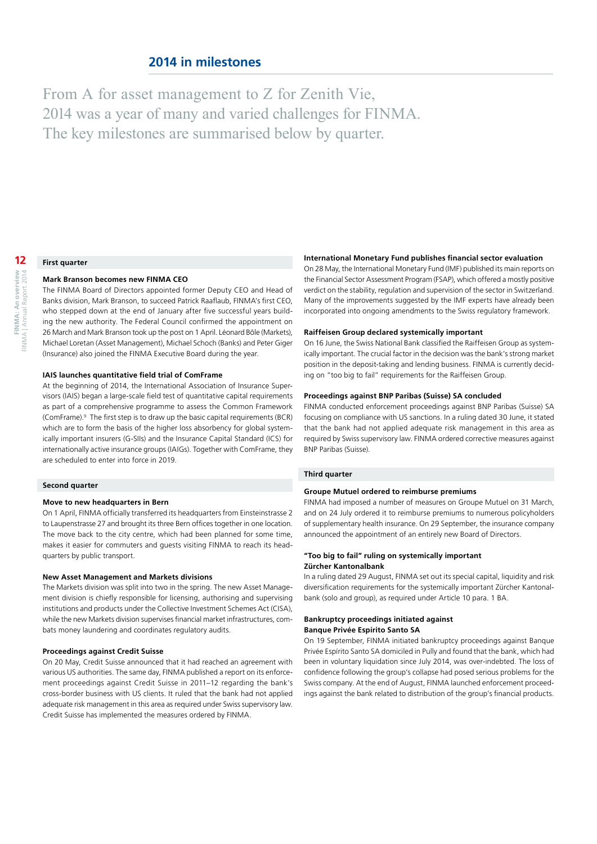# **2014 in milestones**

From A for asset management to Z for Zenith Vie, 2014 was a year of many and varied challenges for FINMA. The key milestones are summarised below by quarter.

#### **First quarter**

#### **Mark Branson becomes new FINMA CEO**

The FINMA Board of Directors appointed former Deputy CEO and Head of Banks division, Mark Branson, to succeed Patrick Raaflaub, FINMA's first CEO, who stepped down at the end of January after five successful years building the new authority. The Federal Council confirmed the appointment on 26 March and Mark Branson took up the post on 1 April. Léonard Bôle (Markets), Michael Loretan (Asset Management), Michael Schoch (Banks) and Peter Giger (Insurance) also joined the FINMA Executive Board during the year.

#### **IAIS launches quantitative field trial of ComFrame**

At the beginning of 2014, the International Association of Insurance Supervisors (IAIS) began a large-scale field test of quantitative capital requirements as part of a comprehensive programme to assess the Common Framework (ComFrame).<sup>9</sup> The first step is to draw up the basic capital requirements (BCR) which are to form the basis of the higher loss absorbency for global systemically important insurers (G-SIIs) and the Insurance Capital Standard (ICS) for internationally active insurance groups (IAIGs). Together with ComFrame, they are scheduled to enter into force in 2019.

#### **Second quarter**

#### **Move to new headquarters in Bern**

On 1 April, FINMA officially transferred its headquarters from Einsteinstrasse 2 to Laupenstrasse 27 and brought its three Bern offices together in one location. The move back to the city centre, which had been planned for some time, makes it easier for commuters and guests visiting FINMA to reach its headquarters by public transport.

#### **New Asset Management and Markets divisions**

The Markets division was split into two in the spring. The new Asset Management division is chiefly responsible for licensing, authorising and supervising institutions and products under the Collective Investment Schemes Act (CISA), while the new Markets division supervises financial market infrastructures, combats money laundering and coordinates regulatory audits.

#### **Proceedings against Credit Suisse**

On 20 May, Credit Suisse announced that it had reached an agreement with various US authorities. The same day, FINMA published a report on its enforcement proceedings against Credit Suisse in 2011–12 regarding the bank's cross-border business with US clients. It ruled that the bank had not applied adequate risk management in this area as required under Swiss supervisory law. Credit Suisse has implemented the measures ordered by FINMA.

#### **International Monetary Fund publishes financial sector evaluation**

On 28 May, the International Monetary Fund (IMF) published its main reports on the Financial Sector Assessment Program (FSAP), which offered a mostly positive verdict on the stability, regulation and supervision of the sector in Switzerland. Many of the improvements suggested by the IMF experts have already been incorporated into ongoing amendments to the Swiss regulatory framework.

#### **Raiffeisen Group declared systemically important**

On 16 June, the Swiss National Bank classified the Raiffeisen Group as systemically important. The crucial factor in the decision was the bank's strong market position in the deposit-taking and lending business. FINMA is currently deciding on "too big to fail" requirements for the Raiffeisen Group.

#### **Proceedings against BNP Paribas (Suisse) SA concluded**

FINMA conducted enforcement proceedings against BNP Paribas (Suisse) SA focusing on compliance with US sanctions. In a ruling dated 30 June, it stated that the bank had not applied adequate risk management in this area as required by Swiss supervisory law. FINMA ordered corrective measures against BNP Paribas (Suisse).

#### **Third quarter**

#### **Groupe Mutuel ordered to reimburse premiums**

FINMA had imposed a number of measures on Groupe Mutuel on 31 March, and on 24 July ordered it to reimburse premiums to numerous policyholders of supplementary health insurance. On 29 September, the insurance company announced the appointment of an entirely new Board of Directors.

#### **"Too big to fail" ruling on systemically important Zürcher Kantonalbank**

In a ruling dated 29 August, FINMA set out its special capital, liquidity and risk diversification requirements for the systemically important Zürcher Kantonalbank (solo and group), as required under Article 10 para. 1 BA.

#### **Bankruptcy proceedings initiated against Banque Privée Espírito Santo SA**

On 19 September, FINMA initiated bankruptcy proceedings against Banque Privée Espírito Santo SA domiciled in Pully and found that the bank, which had been in voluntary liquidation since July 2014, was over-indebted. The loss of confidence following the group's collapse had posed serious problems for the Swiss company. At the end of August, FINMA launched enforcement proceedings against the bank related to distribution of the group's financial products.

**12**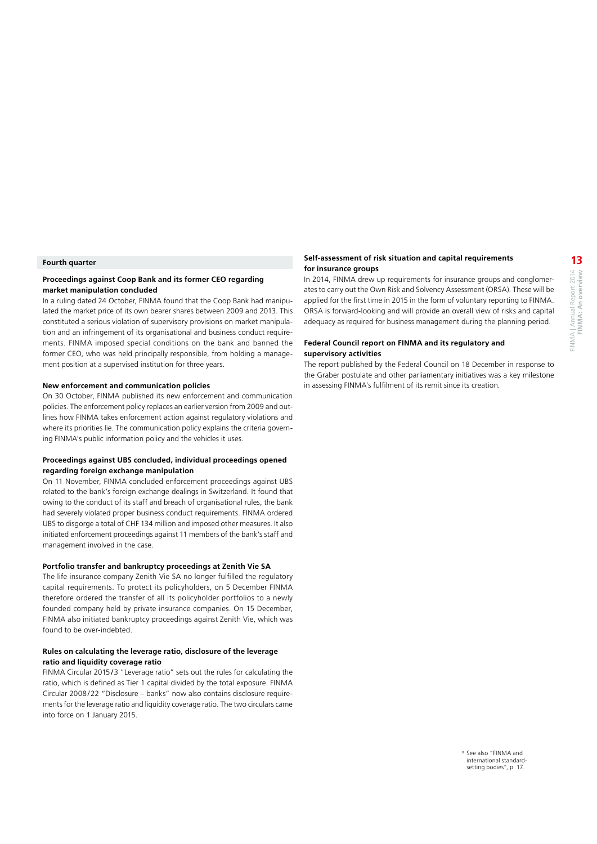#### **Proceedings against Coop Bank and its former CEO regarding market manipulation concluded**

In a ruling dated 24 October, FINMA found that the Coop Bank had manipulated the market price of its own bearer shares between 2009 and 2013. This constituted a serious violation of supervisory provisions on market manipulation and an infringement of its organisational and business conduct requirements. FINMA imposed special conditions on the bank and banned the former CEO, who was held principally responsible, from holding a management position at a supervised institution for three years.

#### **New enforcement and communication policies**

On 30 October, FINMA published its new enforcement and communication policies. The enforcement policy replaces an earlier version from 2009 and outlines how FINMA takes enforcement action against regulatory violations and where its priorities lie. The communication policy explains the criteria governing FINMA's public information policy and the vehicles it uses.

#### **Proceedings against UBS concluded, individual proceedings opened regarding foreign exchange manipulation**

On 11 November, FINMA concluded enforcement proceedings against UBS related to the bank's foreign exchange dealings in Switzerland. It found that owing to the conduct of its staff and breach of organisational rules, the bank had severely violated proper business conduct requirements. FINMA ordered UBS to disgorge a total of CHF 134 million and imposed other measures. It also initiated enforcement proceedings against 11 members of the bank's staff and management involved in the case.

#### **Portfolio transfer and bankruptcy proceedings at Zenith Vie SA**

The life insurance company Zenith Vie SA no longer fulfilled the regulatory capital requirements. To protect its policyholders, on 5 December FINMA therefore ordered the transfer of all its policyholder portfolios to a newly founded company held by private insurance companies. On 15 December, FINMA also initiated bankruptcy proceedings against Zenith Vie, which was found to be over-indebted.

#### **Rules on calculating the leverage ratio, disclosure of the leverage ratio and liquidity coverage ratio**

FINMA Circular 2015*/*3 "Leverage ratio" sets out the rules for calculating the ratio, which is defined as Tier 1 capital divided by the total exposure. FINMA Circular 2008/22 "Disclosure – banks" now also contains disclosure requirements for the leverage ratio and liquidity coverage ratio. The two circulars came into force on 1 January 2015.

#### **Self-assessment of risk situation and capital requirements for insurance groups**

In 2014, FINMA drew up requirements for insurance groups and conglomerates to carry out the Own Risk and Solvency Assessment (ORSA). These will be applied for the first time in 2015 in the form of voluntary reporting to FINMA. ORSA is forward-looking and will provide an overall view of risks and capital adequacy as required for business management during the planning period.

#### **Federal Council report on FINMA and its regulatory and supervisory activities**

The report published by the Federal Council on 18 December in response to the Graber postulate and other parliamentary initiatives was a key milestone in assessing FINMA's fulfilment of its remit since its creation.

<sup>9</sup> See also "FINMA and international standardsetting bodies", p. 17.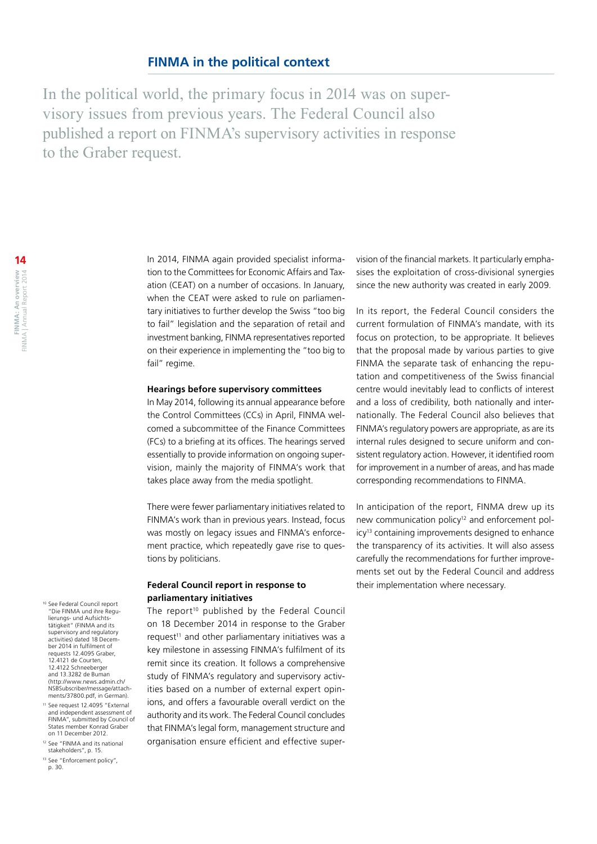In the political world, the primary focus in 2014 was on supervisory issues from previous years. The Federal Council also published a report on FINMA's supervisory activities in response to the Graber request.

> In 2014, FINMA again provided specialist information to the Committees for Economic Affairs and Taxation (CEAT) on a number of occasions. In January, when the CEAT were asked to rule on parliamentary initiatives to further develop the Swiss "too big to fail" legislation and the separation of retail and investment banking, FINMA representatives reported on their experience in implementing the "too big to fail" regime.

## **Hearings before supervisory committees**

In May 2014, following its annual appearance before the Control Committees (CCs) in April, FINMA welcomed a subcommittee of the Finance Committees (FCs) to a briefing at its offices. The hearings served essentially to provide information on ongoing supervision, mainly the majority of FINMA's work that takes place away from the media spotlight.

There were fewer parliamentary initiatives related to FINMA's work than in previous years. Instead, focus was mostly on legacy issues and FINMA's enforcement practice, which repeatedly gave rise to questions by politicians.

# **Federal Council report in response to parliamentary initiatives**

The report<sup>10</sup> published by the Federal Council on 18 December 2014 in response to the Graber request<sup>11</sup> and other parliamentary initiatives was a key milestone in assessing FINMA's fulfilment of its remit since its creation. It follows a comprehensive study of FINMA's regulatory and supervisory activities based on a number of external expert opinions, and offers a favourable overall verdict on the authority and its work. The Federal Council concludes that FINMA's legal form, management structure and organisation ensure efficient and effective supervision of the financial markets. It particularly emphasises the exploitation of cross-divisional synergies since the new authority was created in early 2009.

In its report, the Federal Council considers the current formulation of FINMA's mandate, with its focus on protection, to be appropriate. It believes that the proposal made by various parties to give FINMA the separate task of enhancing the reputation and competitiveness of the Swiss financial centre would inevitably lead to conflicts of interest and a loss of credibility, both nationally and internationally. The Federal Council also believes that FINMA's regulatory powers are appropriate, as are its internal rules designed to secure uniform and consistent regulatory action. However, it identified room for improvement in a number of areas, and has made corresponding recommendations to FINMA.

In anticipation of the report, FINMA drew up its new communication policy<sup>12</sup> and enforcement policy13 containing improvements designed to enhance the transparency of its activities. It will also assess carefully the recommendations for further improvements set out by the Federal Council and address their implementation where necessary.

- <sup>10</sup> See Federal Council report "Die FINMA und ihre Regulierungs- und Aufsichts-tätigkeit" (FINMA and its supervisory and regulatory activities) dated 18 December 2014 in fulfilment of requests 12.4095 Graber, 12.4121 de Courten, 12.4122 Schneeberger and 13.3282 de Buman ([http://www.news.admin.ch/](http://www.news.admin.ch/NSBSubscriber/message/attachments/37800.pdf) [NSBSubscriber/message/attach](http://www.news.admin.ch/NSBSubscriber/message/attachments/37800.pdf)-[ments/37800.pdf, in German](http://www.news.admin.ch/NSBSubscriber/message/attachments/37800.pdf)).
- <sup>11</sup> See request 12.4095 "External and independent assessment of FINMA", submitted by Council of States member Konrad Graber on 11 December 2012.
- <sup>12</sup> See "FINMA and its national stakeholders", p. 15. <sup>13</sup> See "Enforcement policy",
- p. 30.

**FINMA: An overview**  FINMA | Annual Report 2014

FINMA: An overview<br>FINMA | Annual Report 2014

**14**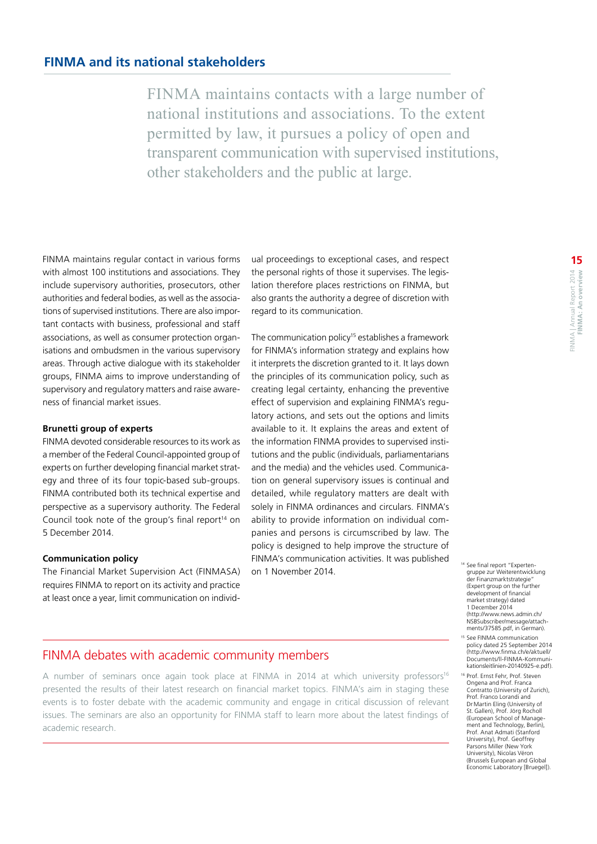FINMA maintains contacts with a large number of national institutions and associations. To the extent permitted by law, it pursues a policy of open and transparent communication with supervised institutions, other stakeholders and the public at large.

FINMA maintains regular contact in various forms with almost 100 institutions and associations. They include supervisory authorities, prosecutors, other authorities and federal bodies, as well as the associations of supervised institutions. There are also important contacts with business, professional and staff associations, as well as consumer protection organisations and ombudsmen in the various supervisory areas. Through active dialogue with its stakeholder groups, FINMA aims to improve understanding of supervisory and regulatory matters and raise awareness of financial market issues.

# **Brunetti group of experts**

FINMA devoted considerable resources to its work as a member of the Federal Council-appointed group of experts on further developing financial market strategy and three of its four topic-based sub-groups. FINMA contributed both its technical expertise and perspective as a supervisory authority. The Federal Council took note of the group's final report<sup>14</sup> on 5 December 2014.

#### **Communication policy**

The Financial Market Supervision Act (FINMASA) requires FINMA to report on its activity and practice at least once a year, limit communication on individual proceedings to exceptional cases, and respect the personal rights of those it supervises. The legislation therefore places restrictions on FINMA, but also grants the authority a degree of discretion with regard to its communication.

The communication policy<sup>15</sup> establishes a framework for FINMA's information strategy and explains how it interprets the discretion granted to it. It lays down the principles of its communication policy, such as creating legal certainty, enhancing the preventive effect of supervision and explaining FINMA's regulatory actions, and sets out the options and limits available to it. It explains the areas and extent of the information FINMA provides to supervised institutions and the public (individuals, parliamentarians and the media) and the vehicles used. Communication on general supervisory issues is continual and detailed, while regulatory matters are dealt with solely in FINMA ordinances and circulars. FINMA's ability to provide information on individual companies and persons is circumscribed by law. The policy is designed to help improve the structure of FINMA's communication activities. It was published on 1 November 2014.

# FINMA debates with academic community members

A number of seminars once again took place at FINMA in 2014 at which university professors<sup>16</sup> presented the results of their latest research on financial market topics. FINMA's aim in staging these events is to foster debate with the academic community and engage in critical discussion of relevant issues. The seminars are also an opportunity for FINMA staff to learn more about the latest findings of academic research.

- <sup>14</sup> See final report "Expertengruppe zur Weiterentwicklung der Finanzmarktstrategie" (Expert group on the further development of financial market strategy) dated 1 December 2014 [\(http://www.news.admin.ch/](http://www.news.admin.ch/NSBSubscriber/message/attachments/37585.pdf) [NSBSubscriber/message/attach](http://www.news.admin.ch/NSBSubscriber/message/attachments/37585.pdf)[ments/37585.pdf, in German\)](http://www.news.admin.ch/NSBSubscriber/message/attachments/37585.pdf).
- <sup>15</sup> See FINMA communication policy dated 25 September 2014 [\(http://www.finma.ch/e/aktuell/](http://www.finma.ch/e/aktuell/Documents/ll-FINMA-Kommunikationsleitlinien-20140925-e.pdf) [Documents/ll-FINMA-Kommuni](http://www.finma.ch/e/aktuell/Documents/ll-FINMA-Kommunikationsleitlinien-20140925-e.pdf)[kationsleitlinien-20140925-e.pdf](http://www.finma.ch/e/aktuell/Documents/ll-FINMA-Kommunikationsleitlinien-20140925-e.pdf)).
- <sup>16</sup> Prof. Ernst Fehr, Prof. Steven Ongena and Prof. Franca Contratto (University of Zurich), Prof. Franco Lorandi and Dr Martin Eling (University of St. Gallen), Prof. Jörg Rocholl (European School of Management and Technology, Berlin), Prof. Anat Admati (Stanford University), Prof. Geoffrey Parsons Miller (New York University), Nicolas Véron (Brussels European and Global Economic Laboratory [Bruegel]).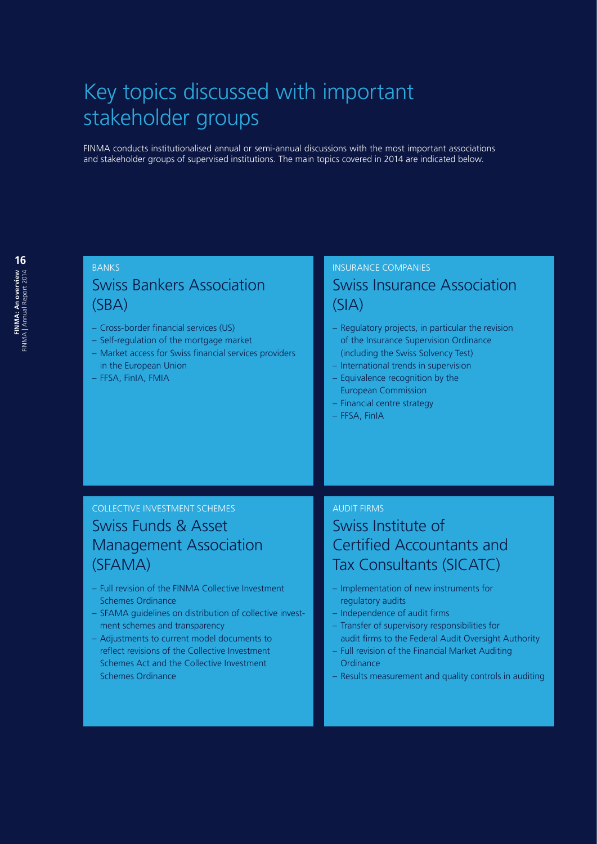# Key topics discussed with important stakeholder groups

FINMA conducts institutionalised annual or semi-annual discussions with the most important associations and stakeholder groups of supervised institutions. The main topics covered in 2014 are indicated below.

# BANKS Swiss Bankers Association (SBA)

- Cross-border financial services (US)
- Self-regulation of the mortgage market
- Market access for Swiss financial services providers in the European Union
- FFSA, FinIA, FMIA

### INSURANCE COMPANIES

# Swiss Insurance Association (SIA)

- Regulatory projects, in particular the revision of the Insurance Supervision Ordinance (including the Swiss Solvency Test)
- International trends in supervision
- Equivalence recognition by the European Commission
- Financial centre strategy
- FFSA, FinIA

# COLLECTIVE INVESTMENT SCHEMES

# Swiss Funds & Asset Management Association (SFAMA)

- Full revision of the FINMA Collective Investment Schemes Ordinance
- SFAMA guidelines on distribution of collective investment schemes and transparency
- Adjustments to current model documents to reflect revisions of the Collective Investment Schemes Act and the Collective Investment Schemes Ordinance

# AUDIT FIRMS

# Swiss Institute of Certified Accountants and Tax Consultants (SICATC)

- Implementation of new instruments for regulatory audits
- Independence of audit firms
- Transfer of supervisory responsibilities for audit firms to the Federal Audit Oversight Authority
- Full revision of the Financial Market Auditing **Ordinance**
- Results measurement and quality controls in auditing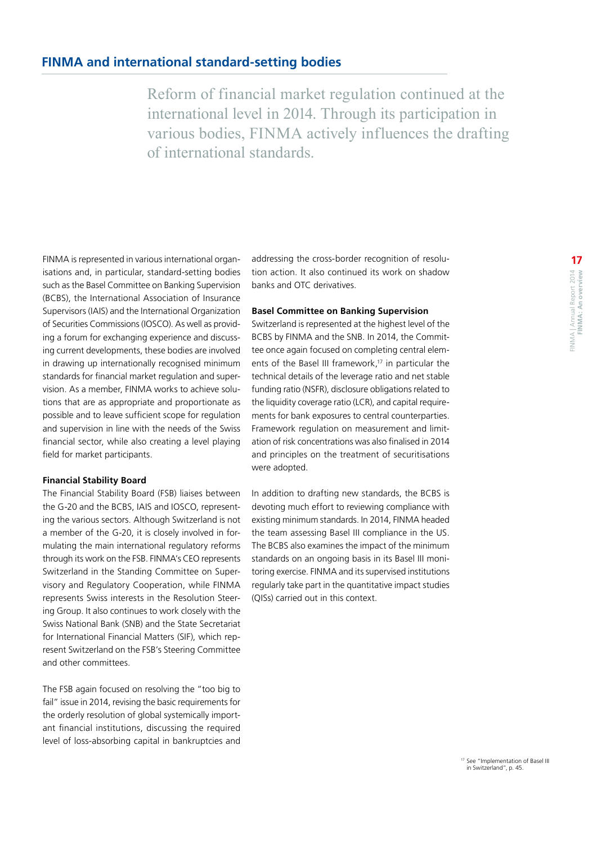Reform of financial market regulation continued at the international level in 2014. Through its participation in various bodies, FINMA actively influences the drafting of international standards.

FINMA is represented in various international organisations and, in particular, standard-setting bodies such as the Basel Committee on Banking Supervision (BCBS), the International Association of Insurance Supervisors (IAIS) and the International Organization of Securities Commissions (IOSCO). As well as providing a forum for exchanging experience and discussing current developments, these bodies are involved in drawing up internationally recognised minimum standards for financial market regulation and supervision. As a member, FINMA works to achieve solutions that are as appropriate and proportionate as possible and to leave sufficient scope for regulation and supervision in line with the needs of the Swiss financial sector, while also creating a level playing field for market participants.

#### **Financial Stability Board**

The Financial Stability Board (FSB) liaises between the G-20 and the BCBS, IAIS and IOSCO, representing the various sectors. Although Switzerland is not a member of the G-20, it is closely involved in formulating the main international regulatory reforms through its work on the FSB. FINMA's CEO represents Switzerland in the Standing Committee on Supervisory and Regulatory Cooperation, while FINMA represents Swiss interests in the Resolution Steering Group. It also continues to work closely with the Swiss National Bank (SNB) and the State Secretariat for International Financial Matters (SIF), which represent Switzerland on the FSB's Steering Committee and other committees.

The FSB again focused on resolving the "too big to fail" issue in 2014, revising the basic requirements for the orderly resolution of global systemically important financial institutions, discussing the required level of loss-absorbing capital in bankruptcies and addressing the cross-border recognition of resolution action. It also continued its work on shadow banks and OTC derivatives.

#### **Basel Committee on Banking Supervision**

Switzerland is represented at the highest level of the BCBS by FINMA and the SNB. In 2014, the Committee once again focused on completing central elements of the Basel III framework,<sup>17</sup> in particular the technical details of the leverage ratio and net stable funding ratio (NSFR), disclosure obligations related to the liquidity coverage ratio (LCR), and capital requirements for bank exposures to central counterparties. Framework regulation on measurement and limitation of risk concentrations was also finalised in 2014 and principles on the treatment of securitisations were adopted.

In addition to drafting new standards, the BCBS is devoting much effort to reviewing compliance with existing minimum standards. In 2014, FINMA headed the team assessing Basel III compliance in the US. The BCBS also examines the impact of the minimum standards on an ongoing basis in its Basel III monitoring exercise. FINMA and its supervised institutions regularly take part in the quantitative impact studies (QISs) carried out in this context.

<sup>17</sup> See "Implementation of Basel III in Switzerland", p. 45.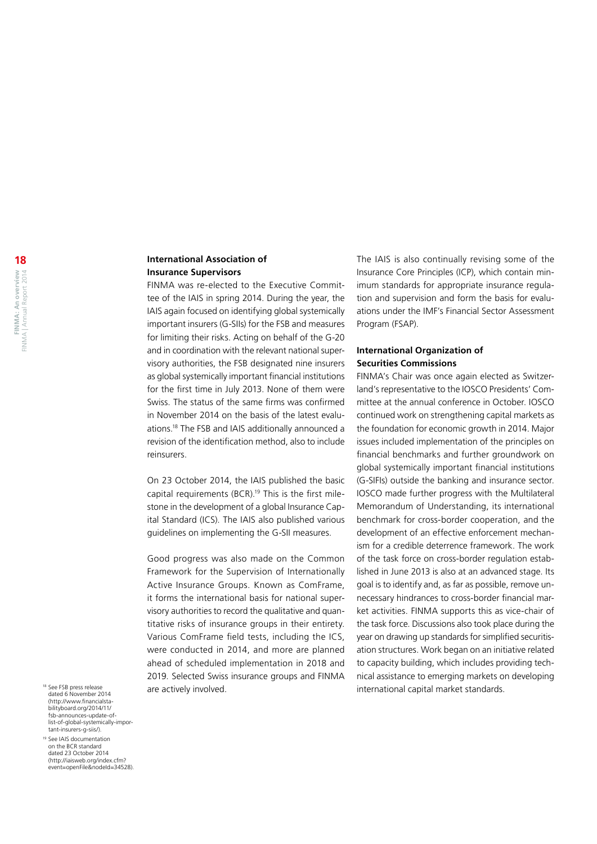# **International Association of Insurance Supervisors**

FINMA was re-elected to the Executive Committee of the IAIS in spring 2014. During the year, the IAIS again focused on identifying global systemically important insurers (G-SIIs) for the FSB and measures for limiting their risks. Acting on behalf of the G-20 and in coordination with the relevant national supervisory authorities, the FSB designated nine insurers as global systemically important financial institutions for the first time in July 2013. None of them were Swiss. The status of the same firms was confirmed in November 2014 on the basis of the latest evaluations.18 The FSB and IAIS additionally announced a revision of the identification method, also to include reinsurers.

On 23 October 2014, the IAIS published the basic capital requirements (BCR).<sup>19</sup> This is the first milestone in the development of a global Insurance Capital Standard (ICS). The IAIS also published various guidelines on implementing the G-SII measures.

Good progress was also made on the Common Framework for the Supervision of Internationally Active Insurance Groups. Known as ComFrame, it forms the international basis for national supervisory authorities to record the qualitative and quantitative risks of insurance groups in their entirety. Various ComFrame field tests, including the ICS, were conducted in 2014, and more are planned ahead of scheduled implementation in 2018 and 2019. Selected Swiss insurance groups and FINMA are actively involved. <sup>18</sup> See FSB press release and are actively involved.

The IAIS is also continually revising some of the Insurance Core Principles (ICP), which contain minimum standards for appropriate insurance regulation and supervision and form the basis for evaluations under the IMF's Financial Sector Assessment Program (FSAP).

# **International Organization of Securities Commissions**

FINMA's Chair was once again elected as Switzerland's representative to the IOSCO Presidents' Committee at the annual conference in October. IOSCO continued work on strengthening capital markets as the foundation for economic growth in 2014. Major issues included implementation of the principles on financial benchmarks and further groundwork on global systemically important financial institutions (G-SIFIs) outside the banking and insurance sector. IOSCO made further progress with the Multilateral Memorandum of Understanding, its international benchmark for cross-border cooperation, and the development of an effective enforcement mechanism for a credible deterrence framework. The work of the task force on cross-border regulation established in June 2013 is also at an advanced stage. Its goal is to identify and, as far as possible, remove unnecessary hindrances to cross-border financial market activities. FINMA supports this as vice-chair of the task force. Discussions also took place during the year on drawing up standards for simplified securitisation structures. Work began on an initiative related to capacity building, which includes providing technical assistance to emerging markets on developing

<sup>19</sup> See IAIS documentation on the BCR standard dated 23 October 2014 ([http://iaisweb.org/index.cfm?](http://iaisweb.org/index.cfm?event=openFile&nodeId=34528) [event=openFile&nodeId=34528](http://iaisweb.org/index.cfm?event=openFile&nodeId=34528)).

**18**FINMA: An overview<br>FINMA | Annual Report 2014 **FINMA: An overview**  FINMA | Annual Report 2014